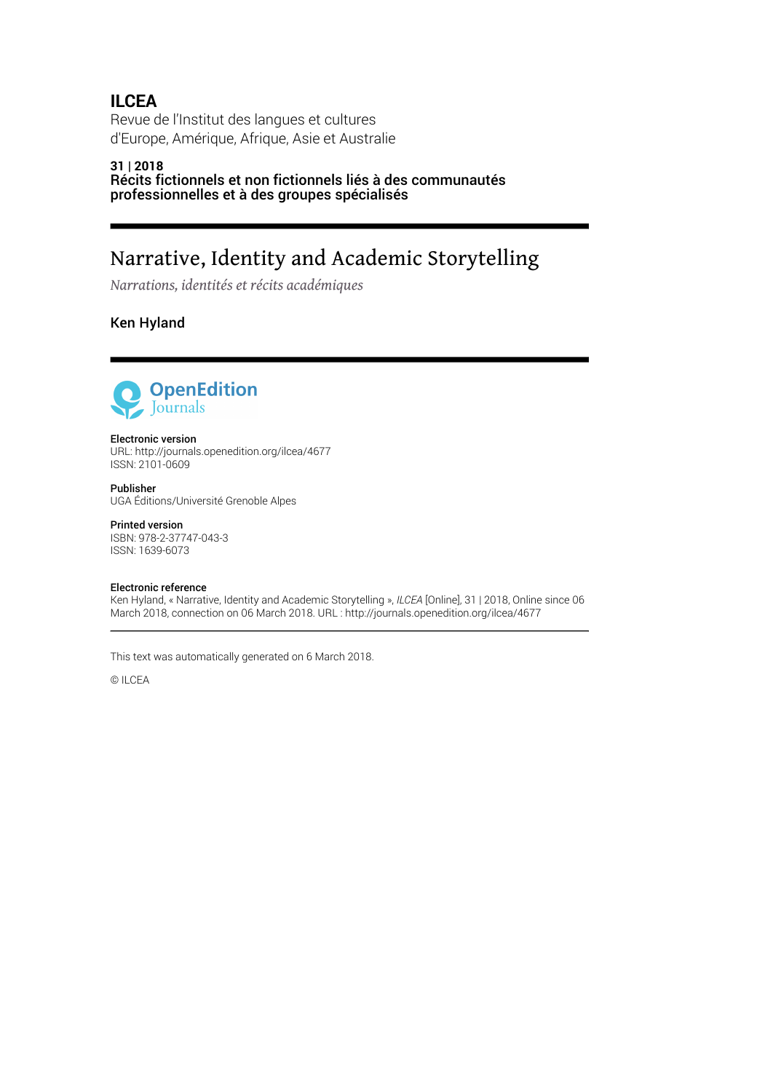## **ILCEA**

Revue de l'Institut des langues et cultures d'Europe, Amérique, Afrique, Asie et Australie

#### **31 | 2018** Récits fictionnels et non fictionnels liés à des communautés professionnelles et à des groupes spécialisés

# Narrative, Identity and Academic Storytelling

*Narrations, identités et récits académiques*

Ken Hyland



#### Electronic version

URL:<http://journals.openedition.org/ilcea/4677> ISSN: 2101-0609

Publisher UGA Éditions/Université Grenoble Alpes

#### Printed version

ISBN: 978-2-37747-043-3 ISSN: 1639-6073

#### Electronic reference

Ken Hyland, « Narrative, Identity and Academic Storytelling », *ILCEA* [Online], 31 | 2018, Online since 06 March 2018, connection on 06 March 2018. URL : http://journals.openedition.org/ilcea/4677

This text was automatically generated on 6 March 2018.

© ILCEA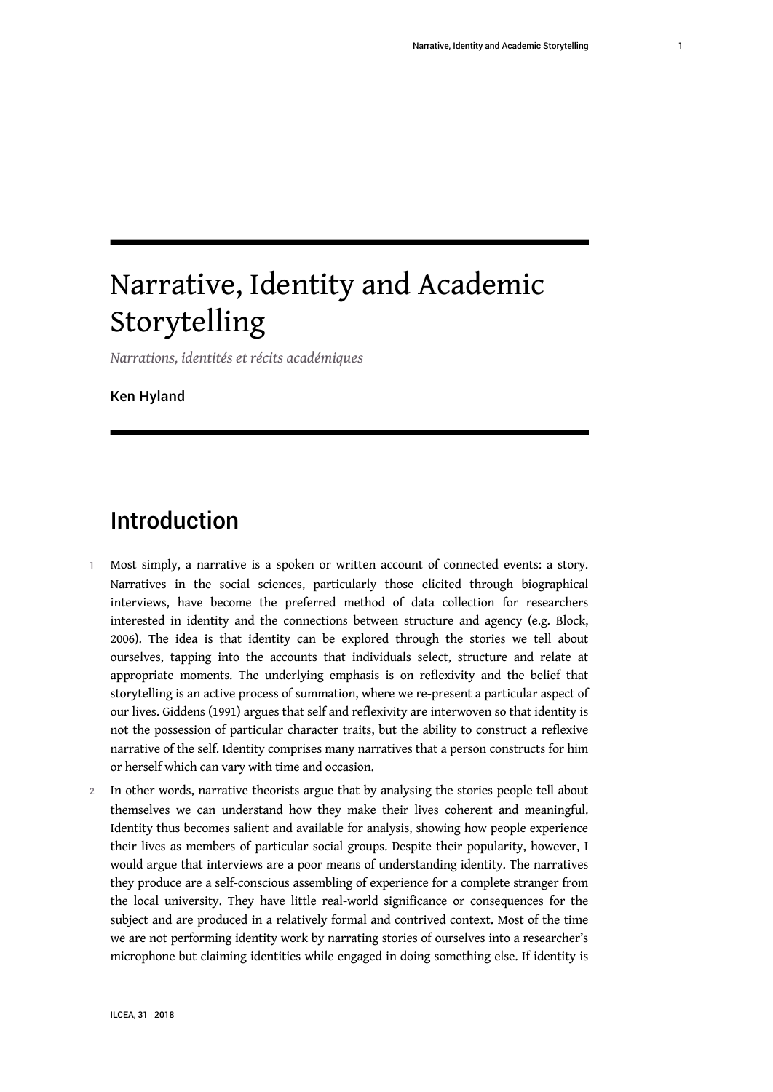# Narrative, Identity and Academic Storytelling

*Narrations, identités et récits académiques*

Ken Hyland

# Introduction

- 1 Most simply, a narrative is a spoken or written account of connected events: a story. Narratives in the social sciences, particularly those elicited through biographical interviews, have become the preferred method of data collection for researchers interested in identity and the connections between structure and agency (e.g. Block, 2006). The idea is that identity can be explored through the stories we tell about ourselves, tapping into the accounts that individuals select, structure and relate at appropriate moments. The underlying emphasis is on reflexivity and the belief that storytelling is an active process of summation, where we re-present a particular aspect of our lives. Giddens (1991) argues that self and reflexivity are interwoven so that identity is not the possession of particular character traits, but the ability to construct a reflexive narrative of the self. Identity comprises many narratives that a person constructs for him or herself which can vary with time and occasion.
- 2 In other words, narrative theorists argue that by analysing the stories people tell about themselves we can understand how they make their lives coherent and meaningful. Identity thus becomes salient and available for analysis, showing how people experience their lives as members of particular social groups. Despite their popularity, however, I would argue that interviews are a poor means of understanding identity. The narratives they produce are a self-conscious assembling of experience for a complete stranger from the local university. They have little real-world significance or consequences for the subject and are produced in a relatively formal and contrived context. Most of the time we are not performing identity work by narrating stories of ourselves into a researcher's microphone but claiming identities while engaged in doing something else. If identity is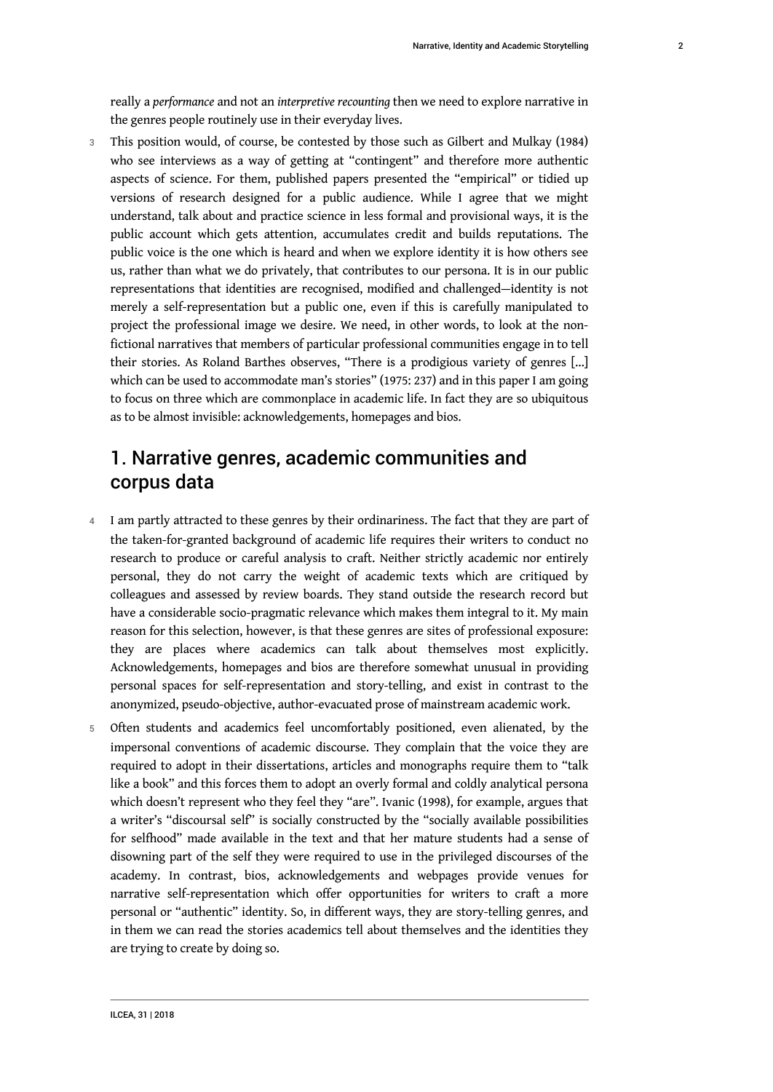3 This position would, of course, be contested by those such as Gilbert and Mulkay (1984) who see interviews as a way of getting at "contingent" and therefore more authentic aspects of science. For them, published papers presented the "empirical" or tidied up versions of research designed for a public audience. While I agree that we might understand, talk about and practice science in less formal and provisional ways, it is the public account which gets attention, accumulates credit and builds reputations. The public voice is the one which is heard and when we explore identity it is how others see us, rather than what we do privately, that contributes to our persona. It is in our public representations that identities are recognised, modified and challenged—identity is not merely a self-representation but a public one, even if this is carefully manipulated to project the professional image we desire. We need, in other words, to look at the nonfictional narratives that members of particular professional communities engage in to tell their stories. As Roland Barthes observes, "There is a prodigious variety of genres […] which can be used to accommodate man's stories" (1975: 237) and in this paper I am going to focus on three which are commonplace in academic life. In fact they are so ubiquitous as to be almost invisible: acknowledgements, homepages and bios.

## 1. Narrative genres, academic communities and corpus data

- 4 I am partly attracted to these genres by their ordinariness. The fact that they are part of the taken-for-granted background of academic life requires their writers to conduct no research to produce or careful analysis to craft. Neither strictly academic nor entirely personal, they do not carry the weight of academic texts which are critiqued by colleagues and assessed by review boards. They stand outside the research record but have a considerable socio-pragmatic relevance which makes them integral to it. My main reason for this selection, however, is that these genres are sites of professional exposure: they are places where academics can talk about themselves most explicitly. Acknowledgements, homepages and bios are therefore somewhat unusual in providing personal spaces for self-representation and story-telling, and exist in contrast to the anonymized, pseudo-objective, author-evacuated prose of mainstream academic work.
- 5 Often students and academics feel uncomfortably positioned, even alienated, by the impersonal conventions of academic discourse. They complain that the voice they are required to adopt in their dissertations, articles and monographs require them to "talk like a book" and this forces them to adopt an overly formal and coldly analytical persona which doesn't represent who they feel they "are". Ivanic (1998), for example, argues that a writer's "discoursal self" is socially constructed by the "socially available possibilities for selfhood" made available in the text and that her mature students had a sense of disowning part of the self they were required to use in the privileged discourses of the academy. In contrast, bios, acknowledgements and webpages provide venues for narrative self-representation which offer opportunities for writers to craft a more personal or "authentic" identity. So, in different ways, they are story-telling genres, and in them we can read the stories academics tell about themselves and the identities they are trying to create by doing so.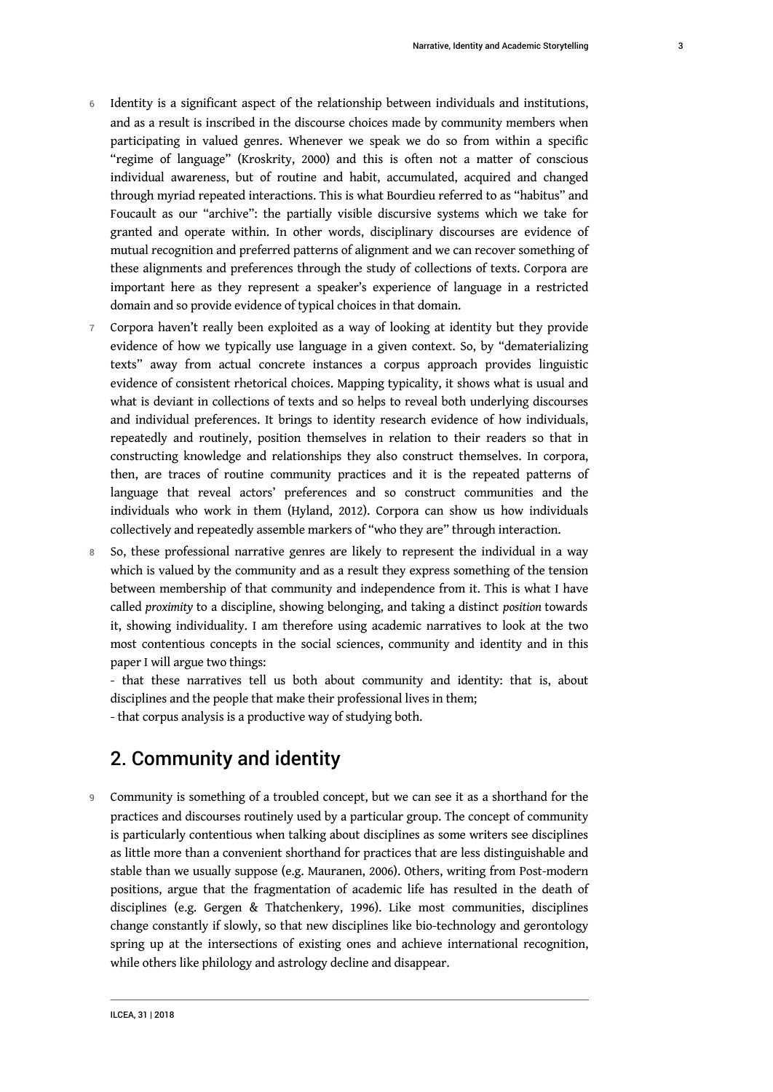- 6 Identity is a significant aspect of the relationship between individuals and institutions, and as a result is inscribed in the discourse choices made by community members when participating in valued genres. Whenever we speak we do so from within a specific "regime of language" (Kroskrity, 2000) and this is often not a matter of conscious individual awareness, but of routine and habit, accumulated, acquired and changed through myriad repeated interactions. This is what Bourdieu referred to as "habitus" and Foucault as our "archive": the partially visible discursive systems which we take for granted and operate within. In other words, disciplinary discourses are evidence of mutual recognition and preferred patterns of alignment and we can recover something of these alignments and preferences through the study of collections of texts. Corpora are important here as they represent a speaker's experience of language in a restricted domain and so provide evidence of typical choices in that domain.
- 7 Corpora haven't really been exploited as a way of looking at identity but they provide evidence of how we typically use language in a given context. So, by "dematerializing texts" away from actual concrete instances a corpus approach provides linguistic evidence of consistent rhetorical choices. Mapping typicality, it shows what is usual and what is deviant in collections of texts and so helps to reveal both underlying discourses and individual preferences. It brings to identity research evidence of how individuals, repeatedly and routinely, position themselves in relation to their readers so that in constructing knowledge and relationships they also construct themselves. In corpora, then, are traces of routine community practices and it is the repeated patterns of language that reveal actors' preferences and so construct communities and the individuals who work in them (Hyland, 2012). Corpora can show us how individuals collectively and repeatedly assemble markers of "who they are" through interaction.
- 8 So, these professional narrative genres are likely to represent the individual in a way which is valued by the community and as a result they express something of the tension between membership of that community and independence from it. This is what I have called *proximity* to a discipline, showing belonging, and taking a distinct *position* towards it, showing individuality. I am therefore using academic narratives to look at the two most contentious concepts in the social sciences, community and identity and in this paper I will argue two things:

- that these narratives tell us both about community and identity: that is, about disciplines and the people that make their professional lives in them;

- that corpus analysis is a productive way of studying both.

## 2. Community and identity

9 Community is something of a troubled concept, but we can see it as a shorthand for the practices and discourses routinely used by a particular group. The concept of community is particularly contentious when talking about disciplines as some writers see disciplines as little more than a convenient shorthand for practices that are less distinguishable and stable than we usually suppose (e.g. Mauranen, 2006). Others, writing from Post-modern positions, argue that the fragmentation of academic life has resulted in the death of disciplines (e.g. Gergen & Thatchenkery, 1996). Like most communities, disciplines change constantly if slowly, so that new disciplines like bio-technology and gerontology spring up at the intersections of existing ones and achieve international recognition, while others like philology and astrology decline and disappear.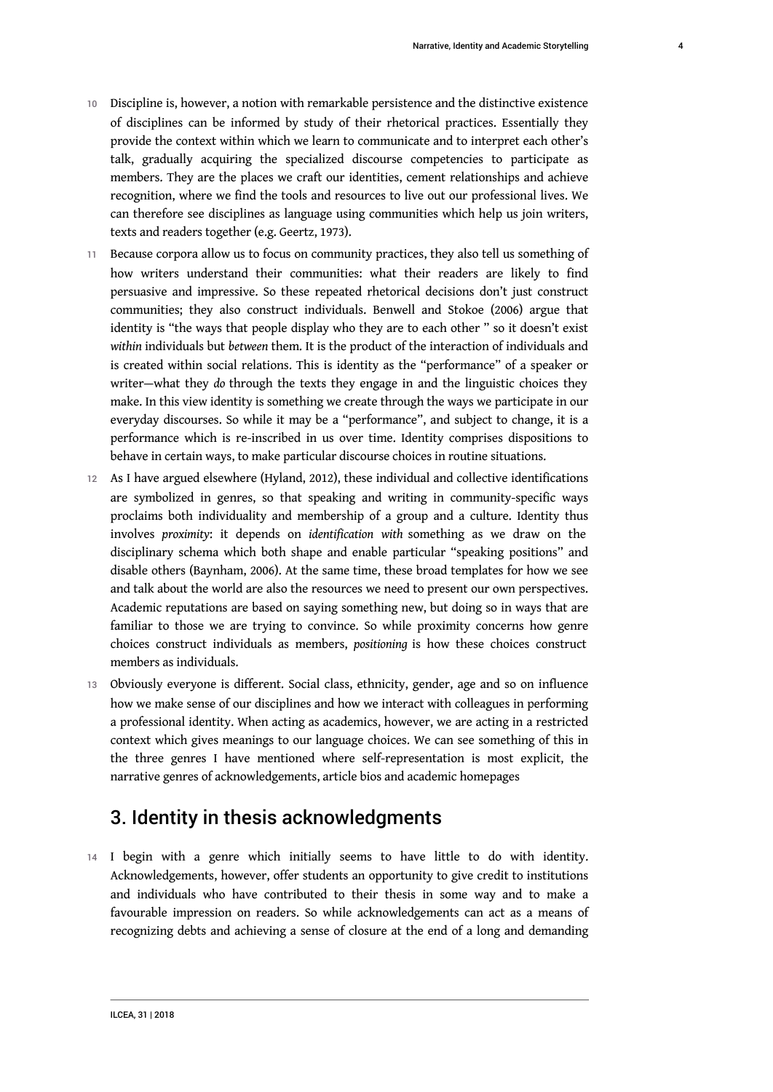- 10 Discipline is, however, a notion with remarkable persistence and the distinctive existence of disciplines can be informed by study of their rhetorical practices. Essentially they provide the context within which we learn to communicate and to interpret each other's talk, gradually acquiring the specialized discourse competencies to participate as members. They are the places we craft our identities, cement relationships and achieve recognition, where we find the tools and resources to live out our professional lives. We can therefore see disciplines as language using communities which help us join writers, texts and readers together (e.g. Geertz, 1973).
- 11 Because corpora allow us to focus on community practices, they also tell us something of how writers understand their communities: what their readers are likely to find persuasive and impressive. So these repeated rhetorical decisions don't just construct communities; they also construct individuals. Benwell and Stokoe (2006) argue that identity is "the ways that people display who they are to each other " so it doesn't exist *within* individuals but *between* them. It is the product of the interaction of individuals and is created within social relations. This is identity as the "performance" of a speaker or writer—what they *do* through the texts they engage in and the linguistic choices they make. In this view identity is something we create through the ways we participate in our everyday discourses. So while it may be a "performance", and subject to change, it is a performance which is re-inscribed in us over time. Identity comprises dispositions to behave in certain ways, to make particular discourse choices in routine situations.
- 12 As I have argued elsewhere (Hyland, 2012), these individual and collective identifications are symbolized in genres, so that speaking and writing in community-specific ways proclaims both individuality and membership of a group and a culture. Identity thus involves *proximity*: it depends on *identification with* something as we draw on the disciplinary schema which both shape and enable particular "speaking positions" and disable others (Baynham, 2006). At the same time, these broad templates for how we see and talk about the world are also the resources we need to present our own perspectives. Academic reputations are based on saying something new, but doing so in ways that are familiar to those we are trying to convince. So while proximity concerns how genre choices construct individuals as members, *positioning* is how these choices construct members as individuals.
- 13 Obviously everyone is different. Social class, ethnicity, gender, age and so on influence how we make sense of our disciplines and how we interact with colleagues in performing a professional identity. When acting as academics, however, we are acting in a restricted context which gives meanings to our language choices. We can see something of this in the three genres I have mentioned where self-representation is most explicit, the narrative genres of acknowledgements, article bios and academic homepages

## 3. Identity in thesis acknowledgments

14 I begin with a genre which initially seems to have little to do with identity. Acknowledgements, however, offer students an opportunity to give credit to institutions and individuals who have contributed to their thesis in some way and to make a favourable impression on readers. So while acknowledgements can act as a means of recognizing debts and achieving a sense of closure at the end of a long and demanding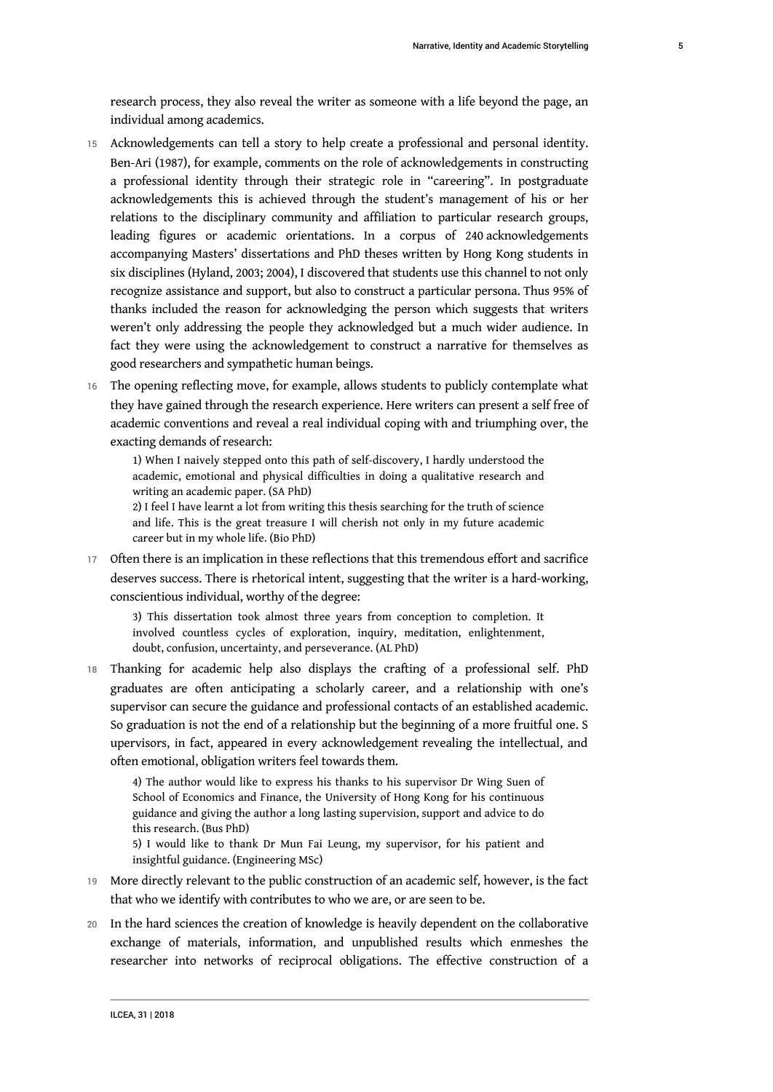research process, they also reveal the writer as someone with a life beyond the page, an individual among academics.

- 15 Acknowledgements can tell a story to help create a professional and personal identity. Ben-Ari (1987), for example, comments on the role of acknowledgements in constructing a professional identity through their strategic role in "careering". In postgraduate acknowledgements this is achieved through the student's management of his or her relations to the disciplinary community and affiliation to particular research groups, leading figures or academic orientations. In a corpus of 240 acknowledgements accompanying Masters' dissertations and PhD theses written by Hong Kong students in six disciplines (Hyland, 2003; 2004), I discovered that students use this channel to not only recognize assistance and support, but also to construct a particular persona. Thus 95% of thanks included the reason for acknowledging the person which suggests that writers weren't only addressing the people they acknowledged but a much wider audience. In fact they were using the acknowledgement to construct a narrative for themselves as good researchers and sympathetic human beings.
- 16 The opening reflecting move, for example, allows students to publicly contemplate what they have gained through the research experience. Here writers can present a self free of academic conventions and reveal a real individual coping with and triumphing over, the exacting demands of research:

1) When I naively stepped onto this path of self-discovery, I hardly understood the academic, emotional and physical difficulties in doing a qualitative research and writing an academic paper. (SA PhD)

2) I feel I have learnt a lot from writing this thesis searching for the truth of science and life. This is the great treasure I will cherish not only in my future academic career but in my whole life. (Bio PhD)

17 Often there is an implication in these reflections that this tremendous effort and sacrifice deserves success. There is rhetorical intent, suggesting that the writer is a hard-working, conscientious individual, worthy of the degree:

3) This dissertation took almost three years from conception to completion. It involved countless cycles of exploration, inquiry, meditation, enlightenment, doubt, confusion, uncertainty, and perseverance. (AL PhD)

18 Thanking for academic help also displays the crafting of a professional self. PhD graduates are often anticipating a scholarly career, and a relationship with one's supervisor can secure the guidance and professional contacts of an established academic. So graduation is not the end of a relationship but the beginning of a more fruitful one. S upervisors, in fact, appeared in every acknowledgement revealing the intellectual, and often emotional, obligation writers feel towards them.

4) The author would like to express his thanks to his supervisor Dr Wing Suen of School of Economics and Finance, the University of Hong Kong for his continuous guidance and giving the author a long lasting supervision, support and advice to do this research. (Bus PhD)

5) I would like to thank Dr Mun Fai Leung, my supervisor, for his patient and insightful guidance. (Engineering MSc)

- 19 More directly relevant to the public construction of an academic self, however, is the fact that who we identify with contributes to who we are, or are seen to be.
- 20 In the hard sciences the creation of knowledge is heavily dependent on the collaborative exchange of materials, information, and unpublished results which enmeshes the researcher into networks of reciprocal obligations. The effective construction of a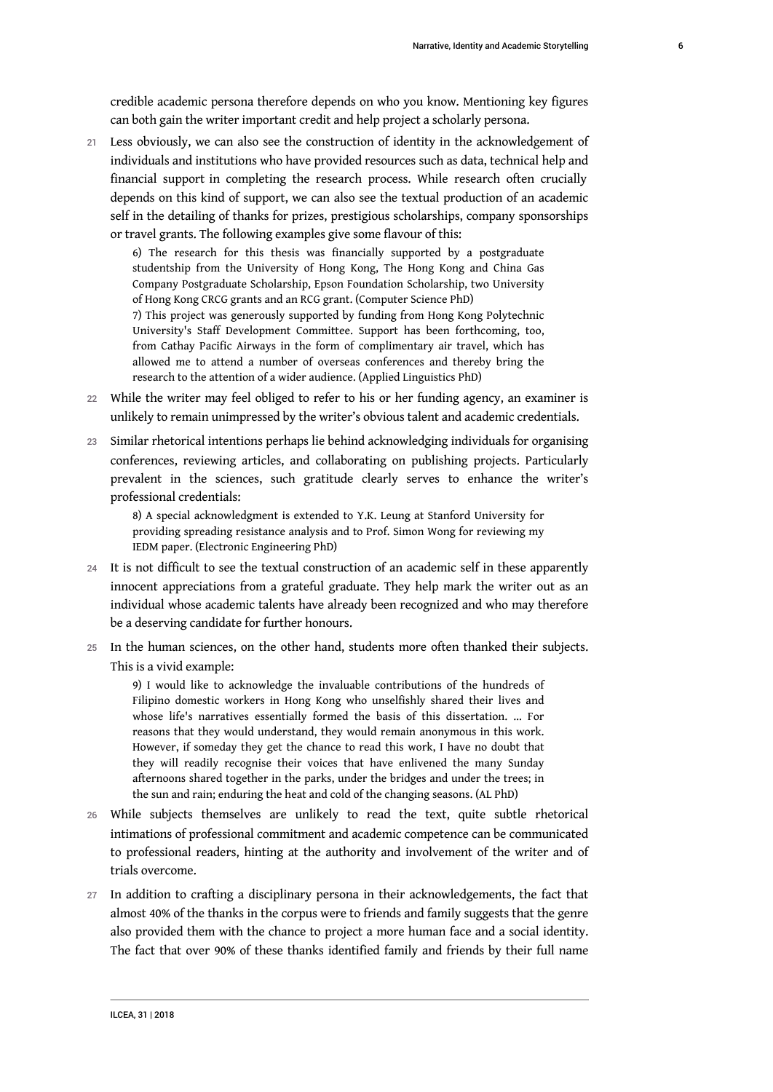credible academic persona therefore depends on who you know. Mentioning key figures can both gain the writer important credit and help project a scholarly persona.

21 Less obviously, we can also see the construction of identity in the acknowledgement of individuals and institutions who have provided resources such as data, technical help and financial support in completing the research process. While research often crucially depends on this kind of support, we can also see the textual production of an academic self in the detailing of thanks for prizes, prestigious scholarships, company sponsorships or travel grants. The following examples give some flavour of this:

6) The research for this thesis was financially supported by a postgraduate studentship from the University of Hong Kong, The Hong Kong and China Gas Company Postgraduate Scholarship, Epson Foundation Scholarship, two University of Hong Kong CRCG grants and an RCG grant. (Computer Science PhD) 7) This project was generously supported by funding from Hong Kong Polytechnic University's Staff Development Committee. Support has been forthcoming, too, from Cathay Pacific Airways in the form of complimentary air travel, which has allowed me to attend a number of overseas conferences and thereby bring the

research to the attention of a wider audience. (Applied Linguistics PhD) 22 While the writer may feel obliged to refer to his or her funding agency, an examiner is

- unlikely to remain unimpressed by the writer's obvious talent and academic credentials.
- 23 Similar rhetorical intentions perhaps lie behind acknowledging individuals for organising conferences, reviewing articles, and collaborating on publishing projects. Particularly prevalent in the sciences, such gratitude clearly serves to enhance the writer's professional credentials:

8) A special acknowledgment is extended to Y.K. Leung at Stanford University for providing spreading resistance analysis and to Prof. Simon Wong for reviewing my IEDM paper. (Electronic Engineering PhD)

- 24 It is not difficult to see the textual construction of an academic self in these apparently innocent appreciations from a grateful graduate. They help mark the writer out as an individual whose academic talents have already been recognized and who may therefore be a deserving candidate for further honours.
- 25 In the human sciences, on the other hand, students more often thanked their subjects. This is a vivid example:

9) I would like to acknowledge the invaluable contributions of the hundreds of Filipino domestic workers in Hong Kong who unselfishly shared their lives and whose life's narratives essentially formed the basis of this dissertation. … For reasons that they would understand, they would remain anonymous in this work. However, if someday they get the chance to read this work, I have no doubt that they will readily recognise their voices that have enlivened the many Sunday afternoons shared together in the parks, under the bridges and under the trees; in the sun and rain; enduring the heat and cold of the changing seasons. (AL PhD)

- 26 While subjects themselves are unlikely to read the text, quite subtle rhetorical intimations of professional commitment and academic competence can be communicated to professional readers, hinting at the authority and involvement of the writer and of trials overcome.
- 27 In addition to crafting a disciplinary persona in their acknowledgements, the fact that almost 40% of the thanks in the corpus were to friends and family suggests that the genre also provided them with the chance to project a more human face and a social identity. The fact that over 90% of these thanks identified family and friends by their full name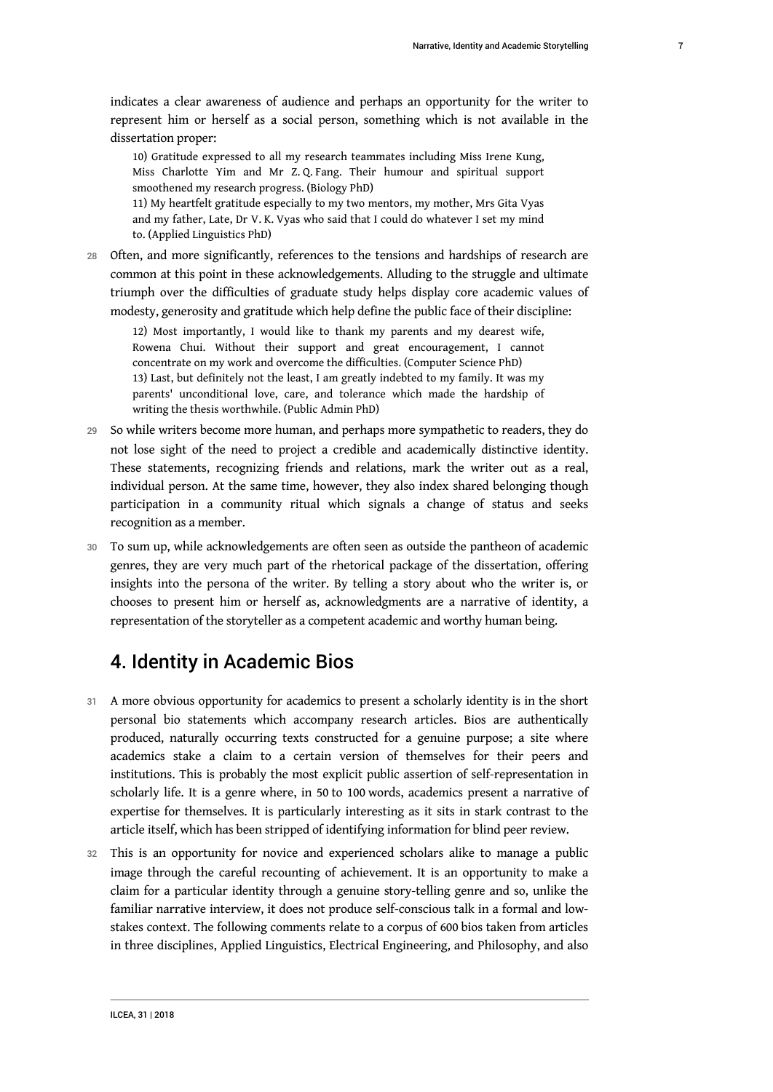indicates a clear awareness of audience and perhaps an opportunity for the writer to represent him or herself as a social person, something which is not available in the

dissertation proper:

10) Gratitude expressed to all my research teammates including Miss Irene Kung, Miss Charlotte Yim and Mr Z. Q. Fang. Their humour and spiritual support smoothened my research progress. (Biology PhD)

11) My heartfelt gratitude especially to my two mentors, my mother, Mrs Gita Vyas and my father, Late, Dr V. K. Vyas who said that I could do whatever I set my mind to. (Applied Linguistics PhD)

28 Often, and more significantly, references to the tensions and hardships of research are common at this point in these acknowledgements. Alluding to the struggle and ultimate triumph over the difficulties of graduate study helps display core academic values of modesty, generosity and gratitude which help define the public face of their discipline:

12) Most importantly, I would like to thank my parents and my dearest wife, Rowena Chui. Without their support and great encouragement, I cannot concentrate on my work and overcome the difficulties. (Computer Science PhD) 13) Last, but definitely not the least, I am greatly indebted to my family. It was my parents' unconditional love, care, and tolerance which made the hardship of writing the thesis worthwhile. (Public Admin PhD)

- 29 So while writers become more human, and perhaps more sympathetic to readers, they do not lose sight of the need to project a credible and academically distinctive identity. These statements, recognizing friends and relations, mark the writer out as a real, individual person. At the same time, however, they also index shared belonging though participation in a community ritual which signals a change of status and seeks recognition as a member.
- 30 To sum up, while acknowledgements are often seen as outside the pantheon of academic genres, they are very much part of the rhetorical package of the dissertation, offering insights into the persona of the writer. By telling a story about who the writer is, or chooses to present him or herself as, acknowledgments are a narrative of identity, a representation of the storyteller as a competent academic and worthy human being.

## 4. Identity in Academic Bios

- 31 A more obvious opportunity for academics to present a scholarly identity is in the short personal bio statements which accompany research articles. Bios are authentically produced, naturally occurring texts constructed for a genuine purpose; a site where academics stake a claim to a certain version of themselves for their peers and institutions. This is probably the most explicit public assertion of self-representation in scholarly life. It is a genre where, in 50 to 100 words, academics present a narrative of expertise for themselves. It is particularly interesting as it sits in stark contrast to the article itself, which has been stripped of identifying information for blind peer review.
- 32 This is an opportunity for novice and experienced scholars alike to manage a public image through the careful recounting of achievement. It is an opportunity to make a claim for a particular identity through a genuine story-telling genre and so, unlike the familiar narrative interview, it does not produce self-conscious talk in a formal and lowstakes context. The following comments relate to a corpus of 600 bios taken from articles in three disciplines, Applied Linguistics, Electrical Engineering, and Philosophy, and also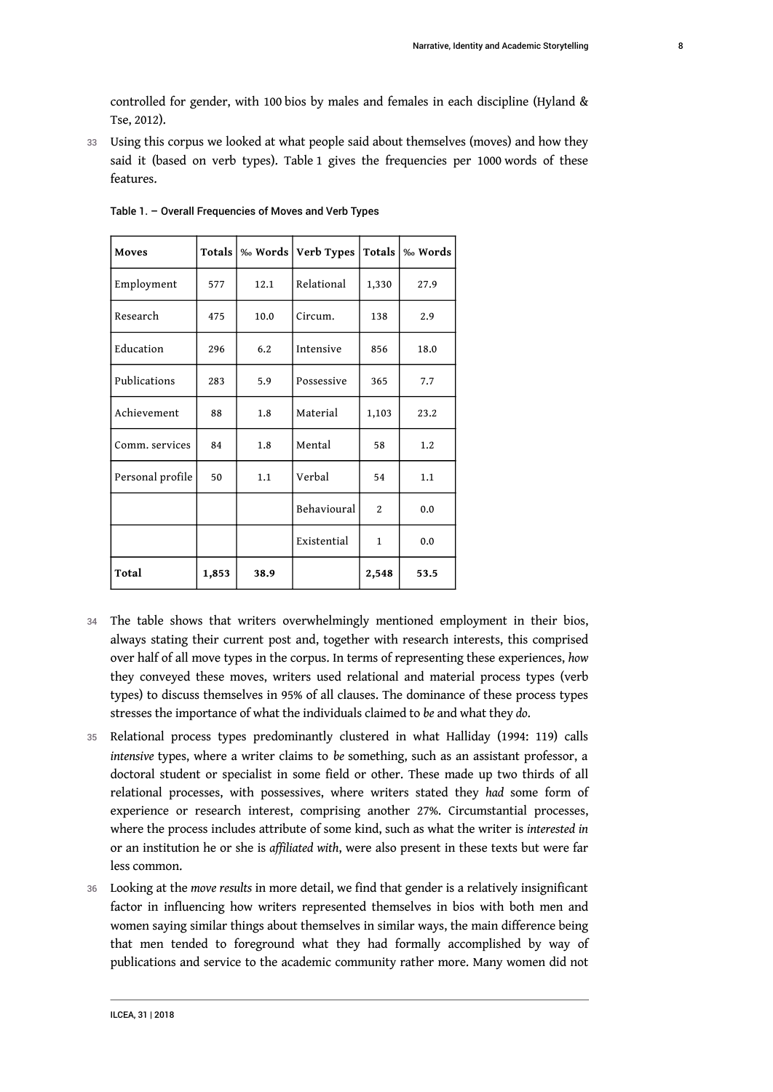controlled for gender, with 100 bios by males and females in each discipline (Hyland & Tse, 2012).

33 Using this corpus we looked at what people said about themselves (moves) and how they said it (based on verb types). Table 1 gives the frequencies per 1000 words of these features.

| Moves            | Totals |      | ‰ Words   Verb Types   Totals |                | ‰ Words |
|------------------|--------|------|-------------------------------|----------------|---------|
| Employment       | 577    | 12.1 | Relational                    | 1,330          | 27.9    |
| Research         | 475    | 10.0 | Circum.                       | 138            | 2.9     |
| Education        | 296    | 6.2  | Intensive                     | 856            | 18.0    |
| Publications     | 283    | 5.9  | Possessive                    | 365            | 7.7     |
| Achievement      | 88     | 1.8  | Material                      | 1,103          | 23.2    |
| Comm. services   | 84     | 1.8  | Mental                        | 58             | 1.2     |
| Personal profile | 50     | 1.1  | Verbal                        | 54             | 1.1     |
|                  |        |      | Behavioural                   | $\overline{2}$ | 0.0     |
|                  |        |      | Existential                   | 1              | 0.0     |
| Total            | 1,853  | 38.9 |                               | 2,548          | 53.5    |

Table 1. – Overall Frequencies of Moves and Verb Types

- 34 The table shows that writers overwhelmingly mentioned employment in their bios, always stating their current post and, together with research interests, this comprised over half of all move types in the corpus. In terms of representing these experiences, *how* they conveyed these moves, writers used relational and material process types (verb types) to discuss themselves in 95% of all clauses. The dominance of these process types stresses the importance of what the individuals claimed to *be* and what they *do*.
- 35 Relational process types predominantly clustered in what Halliday (1994: 119) calls *intensive* types, where a writer claims to *be* something, such as an assistant professor, a doctoral student or specialist in some field or other. These made up two thirds of all relational processes, with possessives, where writers stated they *had* some form of experience or research interest, comprising another 27%. Circumstantial processes, where the process includes attribute of some kind, such as what the writer is *interested in* or an institution he or she is *affiliated with*, were also present in these texts but were far less common.
- <sup>36</sup>Looking at the *move results* in more detail, we find that gender is a relatively insignificant factor in influencing how writers represented themselves in bios with both men and women saying similar things about themselves in similar ways, the main difference being that men tended to foreground what they had formally accomplished by way of publications and service to the academic community rather more. Many women did not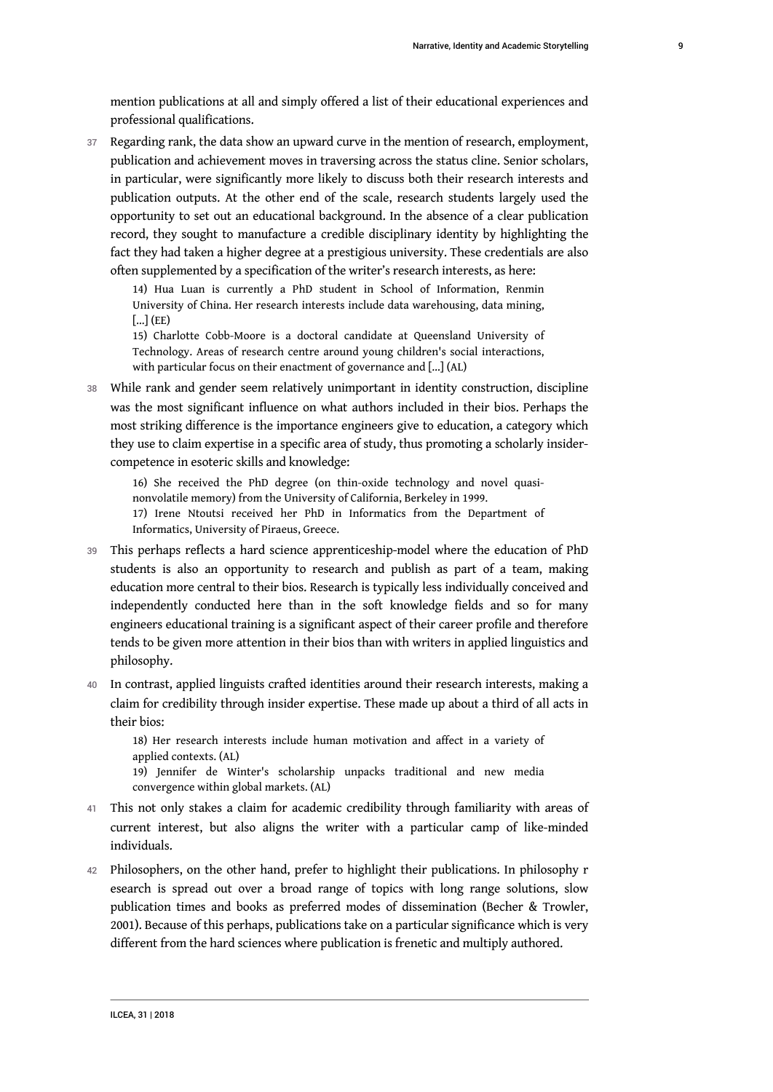mention publications at all and simply offered a list of their educational experiences and professional qualifications.

37 Regarding rank, the data show an upward curve in the mention of research, employment, publication and achievement moves in traversing across the status cline. Senior scholars, in particular, were significantly more likely to discuss both their research interests and publication outputs. At the other end of the scale, research students largely used the opportunity to set out an educational background. In the absence of a clear publication record, they sought to manufacture a credible disciplinary identity by highlighting the fact they had taken a higher degree at a prestigious university. These credentials are also often supplemented by a specification of the writer's research interests, as here:

14) Hua Luan is currently a PhD student in School of Information, Renmin University of China. Her research interests include data warehousing, data mining,  $\left[ \ldots \right]$  (EE)

15) Charlotte Cobb-Moore is a doctoral candidate at Queensland University of Technology. Areas of research centre around young children's social interactions, with particular focus on their enactment of governance and […] (AL)

38 While rank and gender seem relatively unimportant in identity construction, discipline was the most significant influence on what authors included in their bios. Perhaps the most striking difference is the importance engineers give to education, a category which they use to claim expertise in a specific area of study, thus promoting a scholarly insidercompetence in esoteric skills and knowledge:

16) She received the PhD degree (on thin-oxide technology and novel quasinonvolatile memory) from the University of California, Berkeley in 1999. 17) Irene Ntoutsi received her PhD in Informatics from the Department of

Informatics, University of Piraeus, Greece.

- 39 This perhaps reflects a hard science apprenticeship-model where the education of PhD students is also an opportunity to research and publish as part of a team, making education more central to their bios. Research is typically less individually conceived and independently conducted here than in the soft knowledge fields and so for many engineers educational training is a significant aspect of their career profile and therefore tends to be given more attention in their bios than with writers in applied linguistics and philosophy.
- 40 In contrast, applied linguists crafted identities around their research interests, making a claim for credibility through insider expertise. These made up about a third of all acts in their bios:

18) Her research interests include human motivation and affect in a variety of applied contexts. (AL)

19) Jennifer de Winter's scholarship unpacks traditional and new media convergence within global markets. (AL)

- 41 This not only stakes a claim for academic credibility through familiarity with areas of current interest, but also aligns the writer with a particular camp of like-minded individuals.
- 42 Philosophers, on the other hand, prefer to highlight their publications. In philosophy r esearch is spread out over a broad range of topics with long range solutions, slow publication times and books as preferred modes of dissemination (Becher & Trowler, 2001). Because of this perhaps, publications take on a particular significance which is very different from the hard sciences where publication is frenetic and multiply authored.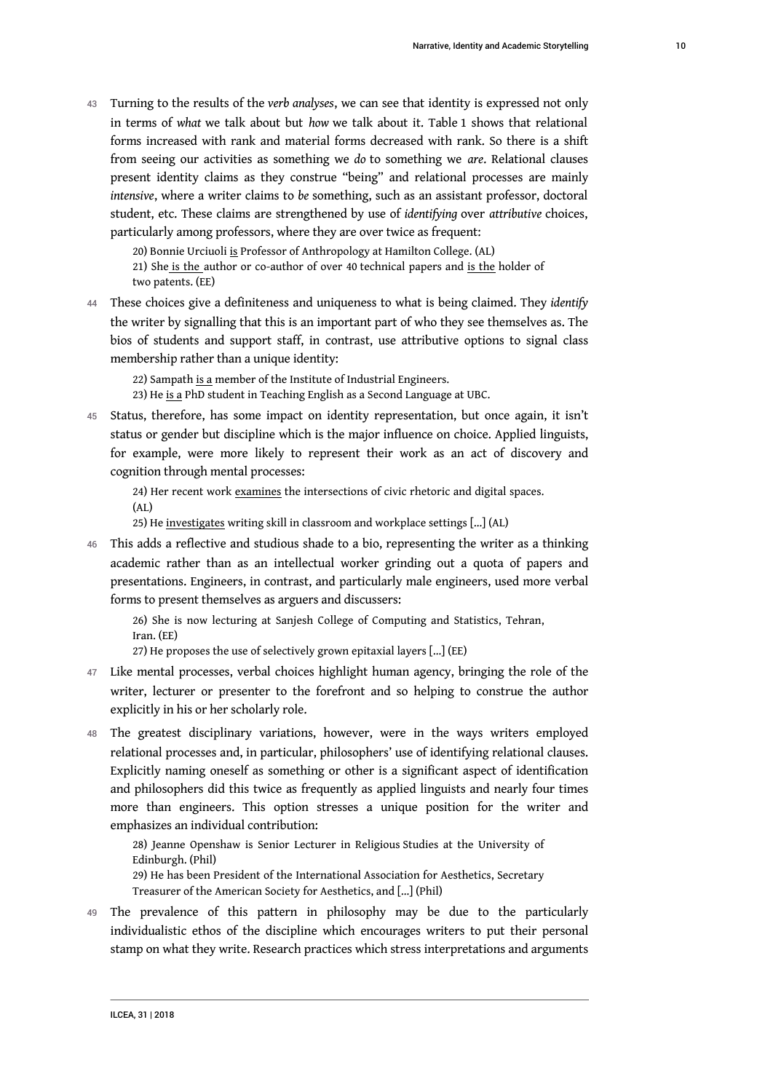<sup>43</sup>Turning to the results of the *verb analyses*, we can see that identity is expressed not only in terms of *what* we talk about but *how* we talk about it. Table 1 shows that relational forms increased with rank and material forms decreased with rank. So there is a shift from seeing our activities as something we *do* to something we *are*. Relational clauses present identity claims as they construe "being" and relational processes are mainly *intensive*, where a writer claims to *be* something, such as an assistant professor, doctoral student, etc. These claims are strengthened by use of *identifying* over *attributive* choices, particularly among professors, where they are over twice as frequent:

20) Bonnie Urciuoli is Professor of Anthropology at Hamilton College. (AL)

21) She is the author or co-author of over 40 technical papers and is the holder of two patents. (EE)

<sup>44</sup>These choices give a definiteness and uniqueness to what is being claimed. They *identify* the writer by signalling that this is an important part of who they see themselves as. The bios of students and support staff, in contrast, use attributive options to signal class membership rather than a unique identity:

22) Sampath is a member of the Institute of Industrial Engineers.

23) He is a PhD student in Teaching English as a Second Language at UBC.

45 Status, therefore, has some impact on identity representation, but once again, it isn't status or gender but discipline which is the major influence on choice. Applied linguists, for example, were more likely to represent their work as an act of discovery and cognition through mental processes:

24) Her recent work examines the intersections of civic rhetoric and digital spaces.

(AL)

25) He investigates writing skill in classroom and workplace settings […] (AL)

46 This adds a reflective and studious shade to a bio, representing the writer as a thinking academic rather than as an intellectual worker grinding out a quota of papers and presentations. Engineers, in contrast, and particularly male engineers, used more verbal forms to present themselves as arguers and discussers:

26) She is now lecturing at Sanjesh College of Computing and Statistics, Tehran, Iran. (EE)

27) He proposes the use of selectively grown epitaxial layers […] (EE)

- 47 Like mental processes, verbal choices highlight human agency, bringing the role of the writer, lecturer or presenter to the forefront and so helping to construe the author explicitly in his or her scholarly role.
- 48 The greatest disciplinary variations, however, were in the ways writers employed relational processes and, in particular, philosophers' use of identifying relational clauses. Explicitly naming oneself as something or other is a significant aspect of identification and philosophers did this twice as frequently as applied linguists and nearly four times more than engineers. This option stresses a unique position for the writer and emphasizes an individual contribution:

28) Jeanne Openshaw is Senior Lecturer in Religious Studies at the University of Edinburgh. (Phil)

29) He has been President of the International Association for Aesthetics, Secretary Treasurer of the American Society for Aesthetics, and […] (Phil)

49 The prevalence of this pattern in philosophy may be due to the particularly individualistic ethos of the discipline which encourages writers to put their personal stamp on what they write. Research practices which stress interpretations and arguments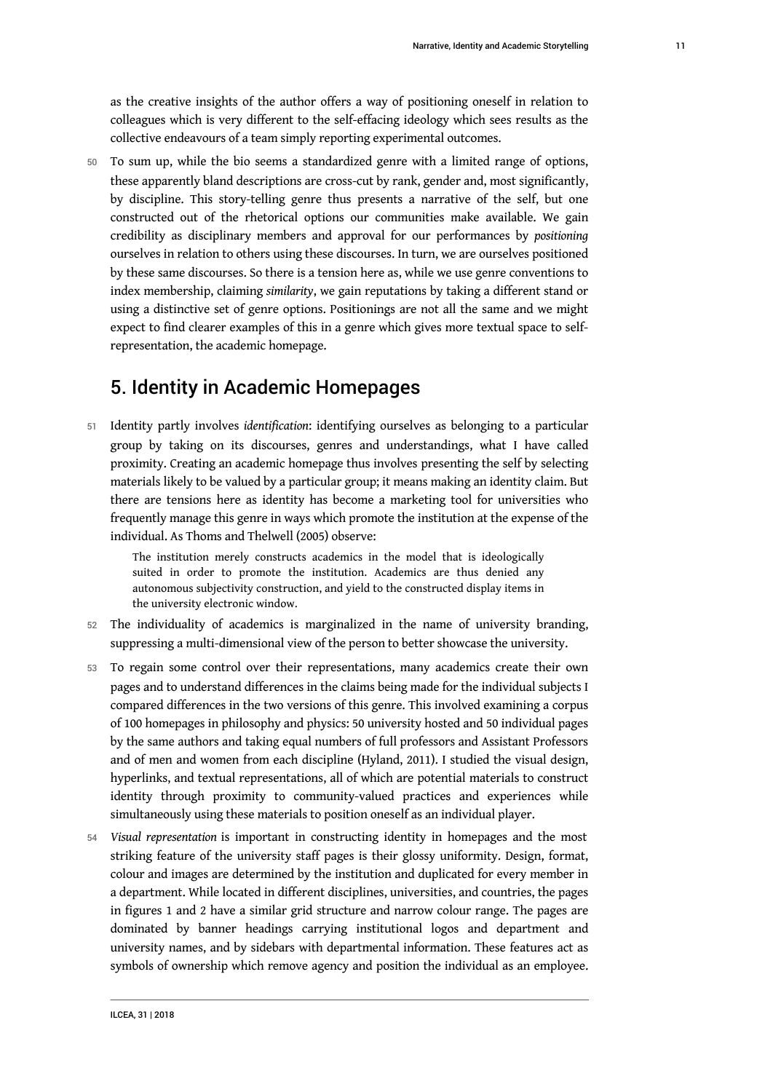as the creative insights of the author offers a way of positioning oneself in relation to colleagues which is very different to the self-effacing ideology which sees results as the collective endeavours of a team simply reporting experimental outcomes.

50 To sum up, while the bio seems a standardized genre with a limited range of options, these apparently bland descriptions are cross-cut by rank, gender and, most significantly, by discipline. This story-telling genre thus presents a narrative of the self, but one constructed out of the rhetorical options our communities make available. We gain credibility as disciplinary members and approval for our performances by *positioning* ourselves in relation to others using these discourses. In turn, we are ourselves positioned by these same discourses. So there is a tension here as, while we use genre conventions to index membership, claiming *similarity*, we gain reputations by taking a different stand or using a distinctive set of genre options. Positionings are not all the same and we might expect to find clearer examples of this in a genre which gives more textual space to selfrepresentation, the academic homepage.

### 5. Identity in Academic Homepages

<sup>51</sup>Identity partly involves *identification*: identifying ourselves as belonging to a particular group by taking on its discourses, genres and understandings, what I have called proximity. Creating an academic homepage thus involves presenting the self by selecting materials likely to be valued by a particular group; it means making an identity claim. But there are tensions here as identity has become a marketing tool for universities who frequently manage this genre in ways which promote the institution at the expense of the individual. As Thoms and Thelwell (2005) observe:

The institution merely constructs academics in the model that is ideologically suited in order to promote the institution. Academics are thus denied any autonomous subjectivity construction, and yield to the constructed display items in the university electronic window.

- 52 The individuality of academics is marginalized in the name of university branding, suppressing a multi-dimensional view of the person to better showcase the university.
- 53 To regain some control over their representations, many academics create their own pages and to understand differences in the claims being made for the individual subjects I compared differences in the two versions of this genre. This involved examining a corpus of 100 homepages in philosophy and physics: 50 university hosted and 50 individual pages by the same authors and taking equal numbers of full professors and Assistant Professors and of men and women from each discipline (Hyland, 2011). I studied the visual design, hyperlinks, and textual representations, all of which are potential materials to construct identity through proximity to community-valued practices and experiences while simultaneously using these materials to position oneself as an individual player.
- <sup>54</sup>*Visual representation* is important in constructing identity in homepages and the most striking feature of the university staff pages is their glossy uniformity. Design, format, colour and images are determined by the institution and duplicated for every member in a department. While located in different disciplines, universities, and countries, the pages in figures 1 and 2 have a similar grid structure and narrow colour range. The pages are dominated by banner headings carrying institutional logos and department and university names, and by sidebars with departmental information. These features act as symbols of ownership which remove agency and position the individual as an employee.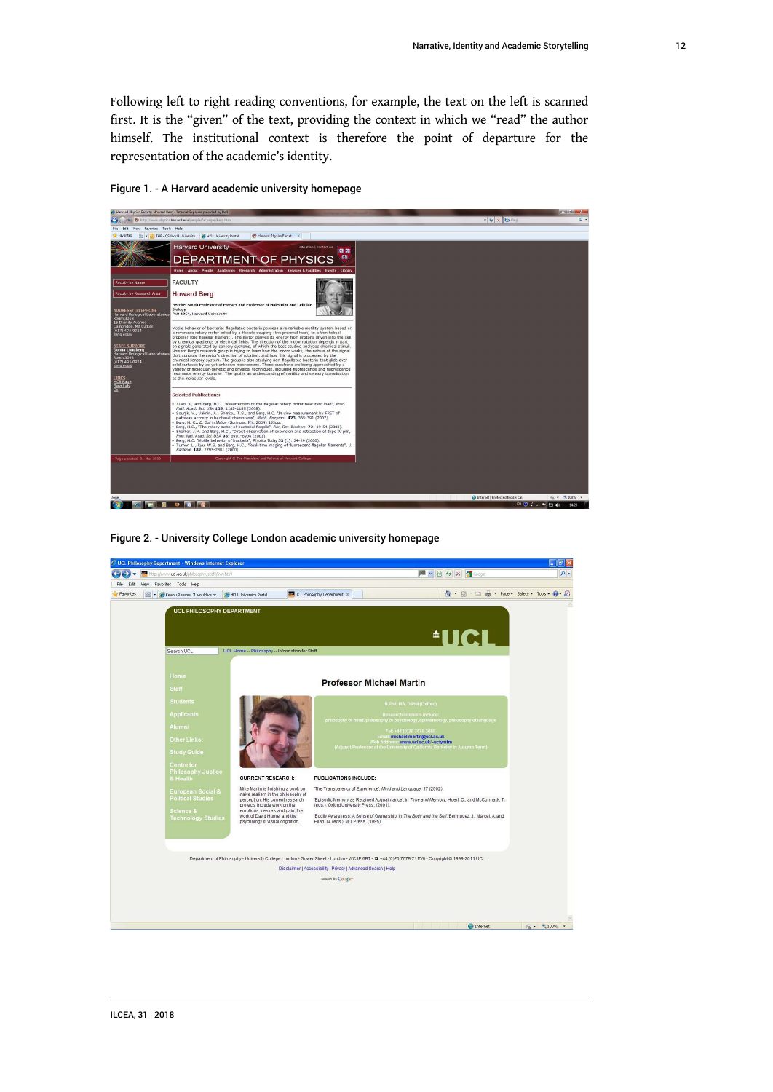Following left to right reading conventions, for example, the text on the left is scanned first. It is the "given" of the text, providing the context in which we "read" the author himself. The institutional context is therefore the point of departure for the representation of the academic's identity.



Figure 1. - A Harvard academic university homepage

Figure 2. - University College London academic university homepage

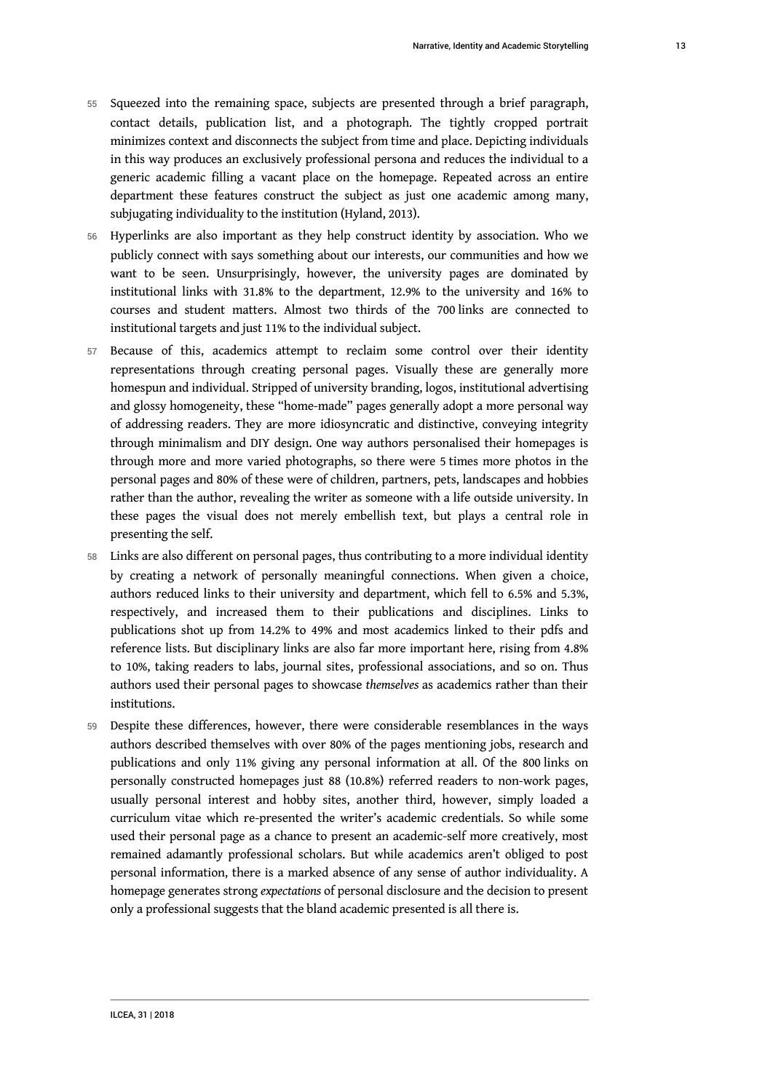- 55 Squeezed into the remaining space, subjects are presented through a brief paragraph, contact details, publication list, and a photograph. The tightly cropped portrait minimizes context and disconnects the subject from time and place. Depicting individuals in this way produces an exclusively professional persona and reduces the individual to a generic academic filling a vacant place on the homepage. Repeated across an entire department these features construct the subject as just one academic among many, subjugating individuality to the institution (Hyland, 2013).
- 56 Hyperlinks are also important as they help construct identity by association. Who we publicly connect with says something about our interests, our communities and how we want to be seen. Unsurprisingly, however, the university pages are dominated by institutional links with 31.8% to the department, 12.9% to the university and 16% to courses and student matters. Almost two thirds of the 700 links are connected to institutional targets and just 11% to the individual subject.
- 57 Because of this, academics attempt to reclaim some control over their identity representations through creating personal pages. Visually these are generally more homespun and individual. Stripped of university branding, logos, institutional advertising and glossy homogeneity, these "home-made" pages generally adopt a more personal way of addressing readers. They are more idiosyncratic and distinctive, conveying integrity through minimalism and DIY design. One way authors personalised their homepages is through more and more varied photographs, so there were 5 times more photos in the personal pages and 80% of these were of children, partners, pets, landscapes and hobbies rather than the author, revealing the writer as someone with a life outside university. In these pages the visual does not merely embellish text, but plays a central role in presenting the self.
- 58 Links are also different on personal pages, thus contributing to a more individual identity by creating a network of personally meaningful connections. When given a choice, authors reduced links to their university and department, which fell to 6.5% and 5.3%, respectively, and increased them to their publications and disciplines. Links to publications shot up from 14.2% to 49% and most academics linked to their pdfs and reference lists. But disciplinary links are also far more important here, rising from 4.8% to 10%, taking readers to labs, journal sites, professional associations, and so on. Thus authors used their personal pages to showcase *themselves* as academics rather than their institutions.
- 59 Despite these differences, however, there were considerable resemblances in the ways authors described themselves with over 80% of the pages mentioning jobs, research and publications and only 11% giving any personal information at all. Of the 800 links on personally constructed homepages just 88 (10.8%) referred readers to non-work pages, usually personal interest and hobby sites, another third, however, simply loaded a curriculum vitae which re-presented the writer's academic credentials. So while some used their personal page as a chance to present an academic-self more creatively, most remained adamantly professional scholars. But while academics aren't obliged to post personal information, there is a marked absence of any sense of author individuality. A homepage generates strong *expectations* of personal disclosure and the decision to present only a professional suggests that the bland academic presented is all there is.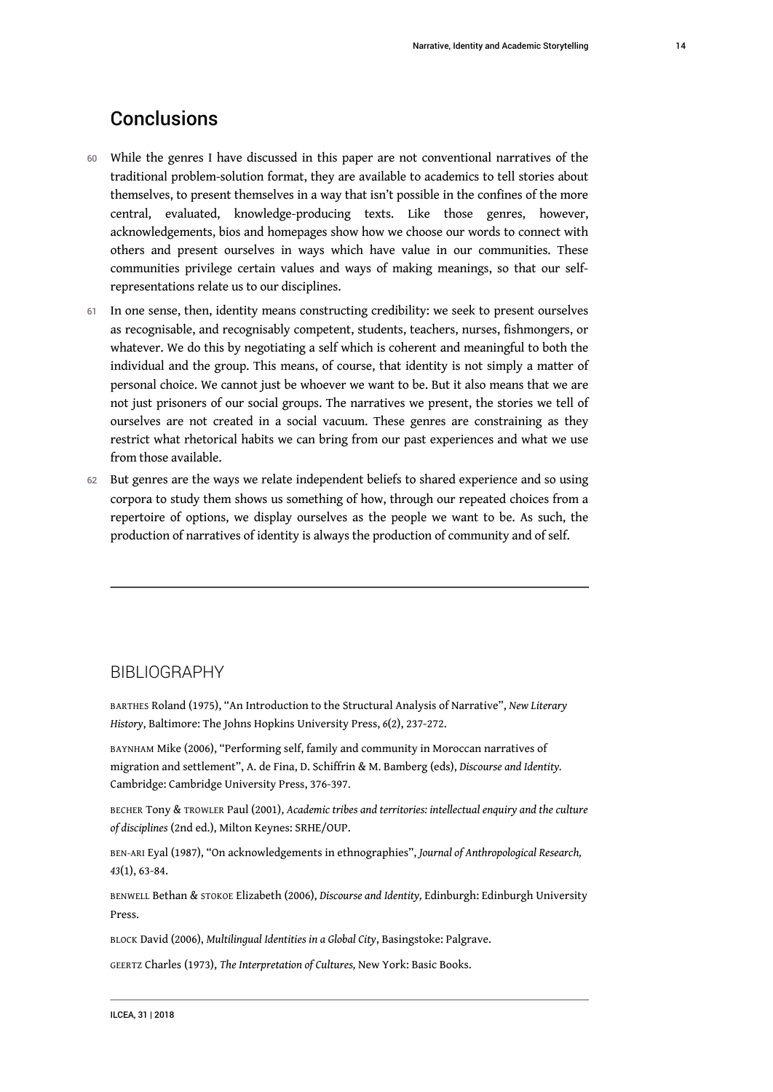- 60 While the genres I have discussed in this paper are not conventional narratives of the traditional problem-solution format, they are available to academics to tell stories about themselves, to present themselves in a way that isn't possible in the confines of the more central, evaluated, knowledge-producing texts. Like those genres, however, acknowledgements, bios and homepages show how we choose our words to connect with others and present ourselves in ways which have value in our communities. These communities privilege certain values and ways of making meanings, so that our selfrepresentations relate us to our disciplines.
- 61 In one sense, then, identity means constructing credibility: we seek to present ourselves as recognisable, and recognisably competent, students, teachers, nurses, fishmongers, or whatever. We do this by negotiating a self which is coherent and meaningful to both the individual and the group. This means, of course, that identity is not simply a matter of personal choice. We cannot just be whoever we want to be. But it also means that we are not just prisoners of our social groups. The narratives we present, the stories we tell of ourselves are not created in a social vacuum. These genres are constraining as they restrict what rhetorical habits we can bring from our past experiences and what we use from those available.
- 62 But genres are the ways we relate independent beliefs to shared experience and so using corpora to study them shows us something of how, through our repeated choices from a repertoire of options, we display ourselves as the people we want to be. As such, the production of narratives of identity is always the production of community and of self.

#### BIBLIOGRAPHY

BARTHES Roland (1975), "An Introduction to the Structural Analysis of Narrative", *New Literary History*, Baltimore: The Johns Hopkins University Press, *6*(2), 237-272.

BAYNHAM Mike (2006), "Performing self, family and community in Moroccan narratives of migration and settlement", A. de Fina, D. Schiffrin & M. Bamberg (eds), *Discourse and Identity.* Cambridge: Cambridge University Press, 376-397.

BECHER Tony & TROWLER Paul (2001), *Academic tribes and territories: intellectual enquiry and the culture of disciplines* (2nd ed.), Milton Keynes: SRHE/OUP.

BEN-ARI Eyal (1987), "On acknowledgements in ethnographies", *Journal of Anthropological Research, 43*(1), 63-84.

BENWELL Bethan & STOKOE Elizabeth (2006), *Discourse and Identity,* Edinburgh: Edinburgh University Press.

BLOCK David (2006), *Multilingual Identities in a Global City*, Basingstoke: Palgrave.

GEERTZ Charles (1973), *The Interpretation of Cultures,* New York: Basic Books.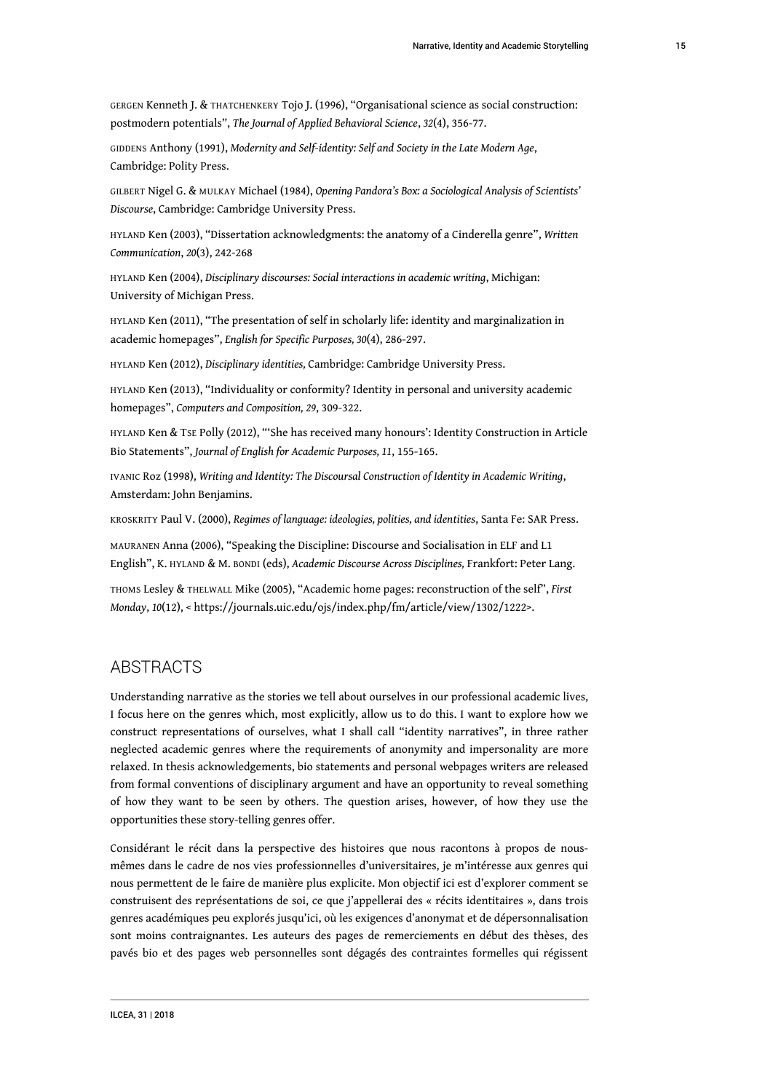GERGEN Kenneth J. & THATCHENKERY Tojo J. (1996), "Organisational science as social construction: postmodern potentials", *The Journal of Applied Behavioral Science*, *32*(4), 356-77.

GIDDENS Anthony (1991), *Modernity and Self-identity: Self and Society in the Late Modern Age*, Cambridge: Polity Press.

GILBERT Nigel G. & MULKAY Michael (1984), *Opening Pandora's Box: a Sociological Analysis of Scientists' Discourse*, Cambridge: Cambridge University Press.

HYLAND Ken (2003), "Dissertation acknowledgments: the anatomy of a Cinderella genre", *Written Communication*, *20*(3), 242-268

HYLAND Ken (2004), *Disciplinary discourses: Social interactions in academic writing*, Michigan: University of Michigan Press.

HYLAND Ken (2011), "The presentation of self in scholarly life: identity and marginalization in academic homepages", *English for Specific Purposes, 30*(4), 286-297.

HYLAND Ken (2012), *Disciplinary identities,* Cambridge: Cambridge University Press.

HYLAND Ken (2013), "Individuality or conformity? Identity in personal and university academic homepages", *Computers and Composition, 29*, 309-322.

HYLAND Ken & TSE Polly (2012), "'She has received many honours': Identity Construction in Article Bio Statements", *Journal of English for Academic Purposes, 11*, 155-165.

IVANIC Roz (1998), *Writing and Identity: The Discoursal Construction of Identity in Academic Writing*, Amsterdam: John Benjamins.

KROSKRITY Paul V. (2000), *Regimes of language: ideologies, polities, and identities*, Santa Fe: SAR Press.

MAURANEN Anna (2006), "Speaking the Discipline: Discourse and Socialisation in ELF and L1 English", K. HYLAND & M. BONDI (eds), *Academic Discourse Across Disciplines,* Frankfort: Peter Lang.

THOMS Lesley & THELWALL Mike (2005), "Academic home pages: reconstruction of the self", *First Monday*, *10*(12), < [https://journals.uic.edu/ojs/index.php/fm/article/view/1302/1222>](https://journals.uic.edu/ojs/index.php/fm/article/view/1302/1222).

#### ABSTRACTS

Understanding narrative as the stories we tell about ourselves in our professional academic lives, I focus here on the genres which, most explicitly, allow us to do this. I want to explore how we construct representations of ourselves, what I shall call "identity narratives", in three rather neglected academic genres where the requirements of anonymity and impersonality are more relaxed. In thesis acknowledgements, bio statements and personal webpages writers are released from formal conventions of disciplinary argument and have an opportunity to reveal something of how they want to be seen by others. The question arises, however, of how they use the opportunities these story-telling genres offer.

Considérant le récit dans la perspective des histoires que nous racontons à propos de nousmêmes dans le cadre de nos vies professionnelles d'universitaires, je m'intéresse aux genres qui nous permettent de le faire de manière plus explicite. Mon objectif ici est d'explorer comment se construisent des représentations de soi, ce que j'appellerai des « récits identitaires », dans trois genres académiques peu explorés jusqu'ici, où les exigences d'anonymat et de dépersonnalisation sont moins contraignantes. Les auteurs des pages de remerciements en début des thèses, des pavés bio et des pages web personnelles sont dégagés des contraintes formelles qui régissent